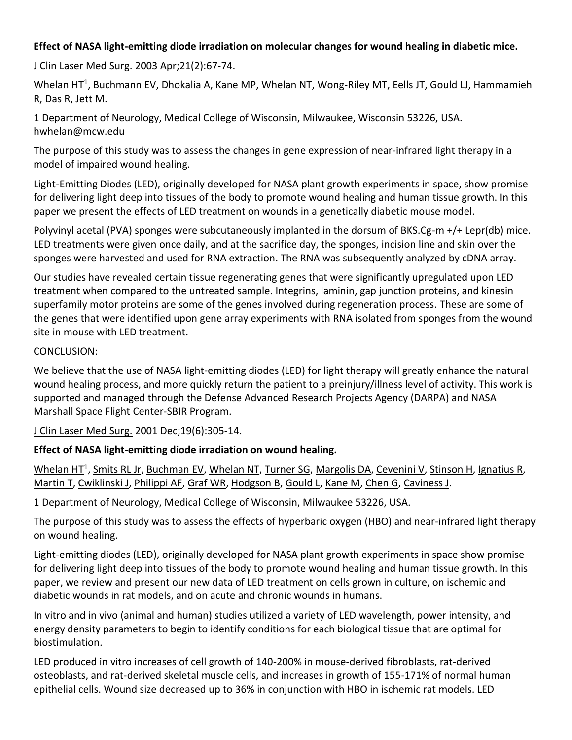### **Effect of NASA light-emitting diode irradiation on molecular changes for wound healing in diabetic mice.**

[J Clin Laser Med Surg.](https://www.ncbi.nlm.nih.gov/pubmed/12737646) 2003 Apr;21(2):67-74.

[Whelan HT](https://www.ncbi.nlm.nih.gov/pubmed/?term=Whelan%20HT%5BAuthor%5D&cauthor=true&cauthor_uid=12737646)<sup>1</sup>, [Buchmann EV,](https://www.ncbi.nlm.nih.gov/pubmed/?term=Buchmann%20EV%5BAuthor%5D&cauthor=true&cauthor_uid=12737646) [Dhokalia A,](https://www.ncbi.nlm.nih.gov/pubmed/?term=Dhokalia%20A%5BAuthor%5D&cauthor=true&cauthor_uid=12737646) [Kane MP,](https://www.ncbi.nlm.nih.gov/pubmed/?term=Kane%20MP%5BAuthor%5D&cauthor=true&cauthor_uid=12737646) [Whelan NT,](https://www.ncbi.nlm.nih.gov/pubmed/?term=Whelan%20NT%5BAuthor%5D&cauthor=true&cauthor_uid=12737646) [Wong-Riley MT,](https://www.ncbi.nlm.nih.gov/pubmed/?term=Wong-Riley%20MT%5BAuthor%5D&cauthor=true&cauthor_uid=12737646) [Eells JT,](https://www.ncbi.nlm.nih.gov/pubmed/?term=Eells%20JT%5BAuthor%5D&cauthor=true&cauthor_uid=12737646) [Gould LJ,](https://www.ncbi.nlm.nih.gov/pubmed/?term=Gould%20LJ%5BAuthor%5D&cauthor=true&cauthor_uid=12737646) Hammamieh [R,](https://www.ncbi.nlm.nih.gov/pubmed/?term=Hammamieh%20R%5BAuthor%5D&cauthor=true&cauthor_uid=12737646) [Das R,](https://www.ncbi.nlm.nih.gov/pubmed/?term=Das%20R%5BAuthor%5D&cauthor=true&cauthor_uid=12737646) [Jett M.](https://www.ncbi.nlm.nih.gov/pubmed/?term=Jett%20M%5BAuthor%5D&cauthor=true&cauthor_uid=12737646)

1 Department of Neurology, Medical College of Wisconsin, Milwaukee, Wisconsin 53226, USA. hwhelan@mcw.edu

The purpose of this study was to assess the changes in gene expression of near-infrared light therapy in a model of impaired wound healing.

Light-Emitting Diodes (LED), originally developed for NASA plant growth experiments in space, show promise for delivering light deep into tissues of the body to promote wound healing and human tissue growth. In this paper we present the effects of LED treatment on wounds in a genetically diabetic mouse model.

Polyvinyl acetal (PVA) sponges were subcutaneously implanted in the dorsum of BKS.Cg-m +/+ Lepr(db) mice. LED treatments were given once daily, and at the sacrifice day, the sponges, incision line and skin over the sponges were harvested and used for RNA extraction. The RNA was subsequently analyzed by cDNA array.

Our studies have revealed certain tissue regenerating genes that were significantly upregulated upon LED treatment when compared to the untreated sample. Integrins, laminin, gap junction proteins, and kinesin superfamily motor proteins are some of the genes involved during regeneration process. These are some of the genes that were identified upon gene array experiments with RNA isolated from sponges from the wound site in mouse with LED treatment.

#### CONCLUSION:

We believe that the use of NASA light-emitting diodes (LED) for light therapy will greatly enhance the natural wound healing process, and more quickly return the patient to a preinjury/illness level of activity. This work is supported and managed through the Defense Advanced Research Projects Agency (DARPA) and NASA Marshall Space Flight Center-SBIR Program.

[J Clin Laser Med Surg.](https://www.ncbi.nlm.nih.gov/pubmed/11776448) 2001 Dec;19(6):305-14.

# **Effect of NASA light-emitting diode irradiation on wound healing.**

[Whelan HT](https://www.ncbi.nlm.nih.gov/pubmed/?term=Whelan%20HT%5BAuthor%5D&cauthor=true&cauthor_uid=11776448)<sup>1</sup>, [Smits RL Jr,](https://www.ncbi.nlm.nih.gov/pubmed/?term=Smits%20RL%20Jr%5BAuthor%5D&cauthor=true&cauthor_uid=11776448) [Buchman EV,](https://www.ncbi.nlm.nih.gov/pubmed/?term=Buchman%20EV%5BAuthor%5D&cauthor=true&cauthor_uid=11776448) [Whelan NT,](https://www.ncbi.nlm.nih.gov/pubmed/?term=Whelan%20NT%5BAuthor%5D&cauthor=true&cauthor_uid=11776448) [Turner SG,](https://www.ncbi.nlm.nih.gov/pubmed/?term=Turner%20SG%5BAuthor%5D&cauthor=true&cauthor_uid=11776448) [Margolis DA,](https://www.ncbi.nlm.nih.gov/pubmed/?term=Margolis%20DA%5BAuthor%5D&cauthor=true&cauthor_uid=11776448) [Cevenini V,](https://www.ncbi.nlm.nih.gov/pubmed/?term=Cevenini%20V%5BAuthor%5D&cauthor=true&cauthor_uid=11776448) [Stinson H,](https://www.ncbi.nlm.nih.gov/pubmed/?term=Stinson%20H%5BAuthor%5D&cauthor=true&cauthor_uid=11776448) [Ignatius R,](https://www.ncbi.nlm.nih.gov/pubmed/?term=Ignatius%20R%5BAuthor%5D&cauthor=true&cauthor_uid=11776448) [Martin T,](https://www.ncbi.nlm.nih.gov/pubmed/?term=Martin%20T%5BAuthor%5D&cauthor=true&cauthor_uid=11776448) [Cwiklinski](https://www.ncbi.nlm.nih.gov/pubmed/?term=Cwiklinski%20J%5BAuthor%5D&cauthor=true&cauthor_uid=11776448) J[, Philippi AF,](https://www.ncbi.nlm.nih.gov/pubmed/?term=Philippi%20AF%5BAuthor%5D&cauthor=true&cauthor_uid=11776448) [Graf WR,](https://www.ncbi.nlm.nih.gov/pubmed/?term=Graf%20WR%5BAuthor%5D&cauthor=true&cauthor_uid=11776448) [Hodgson B,](https://www.ncbi.nlm.nih.gov/pubmed/?term=Hodgson%20B%5BAuthor%5D&cauthor=true&cauthor_uid=11776448) [Gould L,](https://www.ncbi.nlm.nih.gov/pubmed/?term=Gould%20L%5BAuthor%5D&cauthor=true&cauthor_uid=11776448) [Kane M,](https://www.ncbi.nlm.nih.gov/pubmed/?term=Kane%20M%5BAuthor%5D&cauthor=true&cauthor_uid=11776448) [Chen G,](https://www.ncbi.nlm.nih.gov/pubmed/?term=Chen%20G%5BAuthor%5D&cauthor=true&cauthor_uid=11776448) [Caviness J.](https://www.ncbi.nlm.nih.gov/pubmed/?term=Caviness%20J%5BAuthor%5D&cauthor=true&cauthor_uid=11776448)

1 Department of Neurology, Medical College of Wisconsin, Milwaukee 53226, USA.

The purpose of this study was to assess the effects of hyperbaric oxygen (HBO) and near-infrared light therapy on wound healing.

Light-emitting diodes (LED), originally developed for NASA plant growth experiments in space show promise for delivering light deep into tissues of the body to promote wound healing and human tissue growth. In this paper, we review and present our new data of LED treatment on cells grown in culture, on ischemic and diabetic wounds in rat models, and on acute and chronic wounds in humans.

In vitro and in vivo (animal and human) studies utilized a variety of LED wavelength, power intensity, and energy density parameters to begin to identify conditions for each biological tissue that are optimal for biostimulation.

LED produced in vitro increases of cell growth of 140-200% in mouse-derived fibroblasts, rat-derived osteoblasts, and rat-derived skeletal muscle cells, and increases in growth of 155-171% of normal human epithelial cells. Wound size decreased up to 36% in conjunction with HBO in ischemic rat models. LED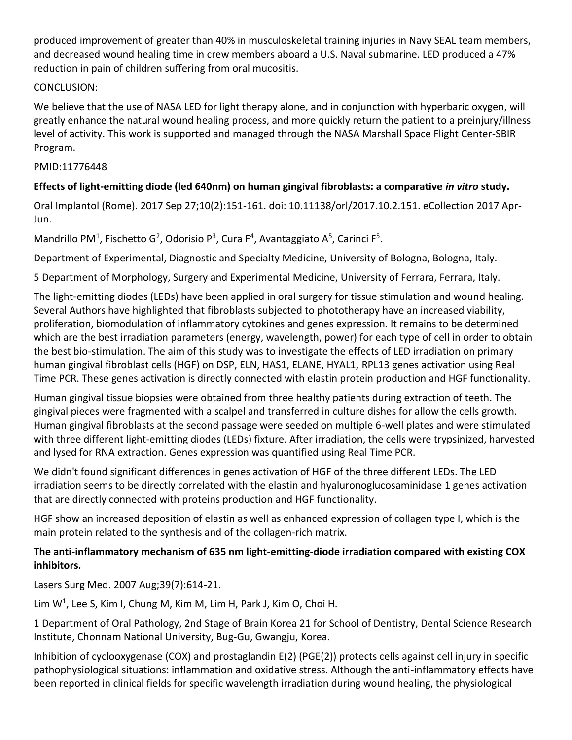produced improvement of greater than 40% in musculoskeletal training injuries in Navy SEAL team members, and decreased wound healing time in crew members aboard a U.S. Naval submarine. LED produced a 47% reduction in pain of children suffering from oral mucositis.

### CONCLUSION:

We believe that the use of NASA LED for light therapy alone, and in conjunction with hyperbaric oxygen, will greatly enhance the natural wound healing process, and more quickly return the patient to a preinjury/illness level of activity. This work is supported and managed through the NASA Marshall Space Flight Center-SBIR Program.

### PMID:11776448

# **Effects of light-emitting diode (led 640nm) on human gingival fibroblasts: a comparative** *in vitro* **study.**

[Oral Implantol \(Rome\).](https://www.ncbi.nlm.nih.gov/pubmed/29876040) 2017 Sep 27;10(2):151-161. doi: 10.11138/orl/2017.10.2.151. eCollection 2017 Apr-Jun.

# [Mandrillo PM](https://www.ncbi.nlm.nih.gov/pubmed/?term=Mandrillo%20PM%5BAuthor%5D&cauthor=true&cauthor_uid=29876040)<sup>1</sup>, [Fischetto G](https://www.ncbi.nlm.nih.gov/pubmed/?term=Fischetto%20G%5BAuthor%5D&cauthor=true&cauthor_uid=29876040)<sup>2</sup>, [Odorisio P](https://www.ncbi.nlm.nih.gov/pubmed/?term=Odorisio%20P%5BAuthor%5D&cauthor=true&cauthor_uid=29876040)<sup>3</sup>, [Cura F](https://www.ncbi.nlm.nih.gov/pubmed/?term=Cura%20F%5BAuthor%5D&cauthor=true&cauthor_uid=29876040)<sup>4</sup>[, Avantaggiato A](https://www.ncbi.nlm.nih.gov/pubmed/?term=Avantaggiato%20A%5BAuthor%5D&cauthor=true&cauthor_uid=29876040)<sup>5</sup>, [Carinci F](https://www.ncbi.nlm.nih.gov/pubmed/?term=Carinci%20F%5BAuthor%5D&cauthor=true&cauthor_uid=29876040)<sup>5</sup>.

Department of Experimental, Diagnostic and Specialty Medicine, University of Bologna, Bologna, Italy.

5 Department of Morphology, Surgery and Experimental Medicine, University of Ferrara, Ferrara, Italy.

The light-emitting diodes (LEDs) have been applied in oral surgery for tissue stimulation and wound healing. Several Authors have highlighted that fibroblasts subjected to phototherapy have an increased viability, proliferation, biomodulation of inflammatory cytokines and genes expression. It remains to be determined which are the best irradiation parameters (energy, wavelength, power) for each type of cell in order to obtain the best bio-stimulation. The aim of this study was to investigate the effects of LED irradiation on primary human gingival fibroblast cells (HGF) on DSP, ELN, HAS1, ELANE, HYAL1, RPL13 genes activation using Real Time PCR. These genes activation is directly connected with elastin protein production and HGF functionality.

Human gingival tissue biopsies were obtained from three healthy patients during extraction of teeth. The gingival pieces were fragmented with a scalpel and transferred in culture dishes for allow the cells growth. Human gingival fibroblasts at the second passage were seeded on multiple 6-well plates and were stimulated with three different light-emitting diodes (LEDs) fixture. After irradiation, the cells were trypsinized, harvested and lysed for RNA extraction. Genes expression was quantified using Real Time PCR.

We didn't found significant differences in genes activation of HGF of the three different LEDs. The LED irradiation seems to be directly correlated with the elastin and hyaluronoglucosaminidase 1 genes activation that are directly connected with proteins production and HGF functionality.

HGF show an increased deposition of elastin as well as enhanced expression of collagen type I, which is the main protein related to the synthesis and of the collagen-rich matrix.

# **The anti-inflammatory mechanism of 635 nm light-emitting-diode irradiation compared with existing COX inhibitors.**

[Lasers Surg Med.](https://www.ncbi.nlm.nih.gov/pubmed/17868110) 2007 Aug;39(7):614-21.

[Lim W](https://www.ncbi.nlm.nih.gov/pubmed/?term=Lim%20W%5BAuthor%5D&cauthor=true&cauthor_uid=17868110)<sup>1</sup>, [Lee S,](https://www.ncbi.nlm.nih.gov/pubmed/?term=Lee%20S%5BAuthor%5D&cauthor=true&cauthor_uid=17868110) [Kim I,](https://www.ncbi.nlm.nih.gov/pubmed/?term=Kim%20I%5BAuthor%5D&cauthor=true&cauthor_uid=17868110) [Chung M,](https://www.ncbi.nlm.nih.gov/pubmed/?term=Chung%20M%5BAuthor%5D&cauthor=true&cauthor_uid=17868110) [Kim M,](https://www.ncbi.nlm.nih.gov/pubmed/?term=Kim%20M%5BAuthor%5D&cauthor=true&cauthor_uid=17868110) [Lim H,](https://www.ncbi.nlm.nih.gov/pubmed/?term=Lim%20H%5BAuthor%5D&cauthor=true&cauthor_uid=17868110) [Park J,](https://www.ncbi.nlm.nih.gov/pubmed/?term=Park%20J%5BAuthor%5D&cauthor=true&cauthor_uid=17868110) [Kim O,](https://www.ncbi.nlm.nih.gov/pubmed/?term=Kim%20O%5BAuthor%5D&cauthor=true&cauthor_uid=17868110) [Choi H.](https://www.ncbi.nlm.nih.gov/pubmed/?term=Choi%20H%5BAuthor%5D&cauthor=true&cauthor_uid=17868110)

1 Department of Oral Pathology, 2nd Stage of Brain Korea 21 for School of Dentistry, Dental Science Research Institute, Chonnam National University, Bug-Gu, Gwangju, Korea.

Inhibition of cyclooxygenase (COX) and prostaglandin E(2) (PGE(2)) protects cells against cell injury in specific pathophysiological situations: inflammation and oxidative stress. Although the anti-inflammatory effects have been reported in clinical fields for specific wavelength irradiation during wound healing, the physiological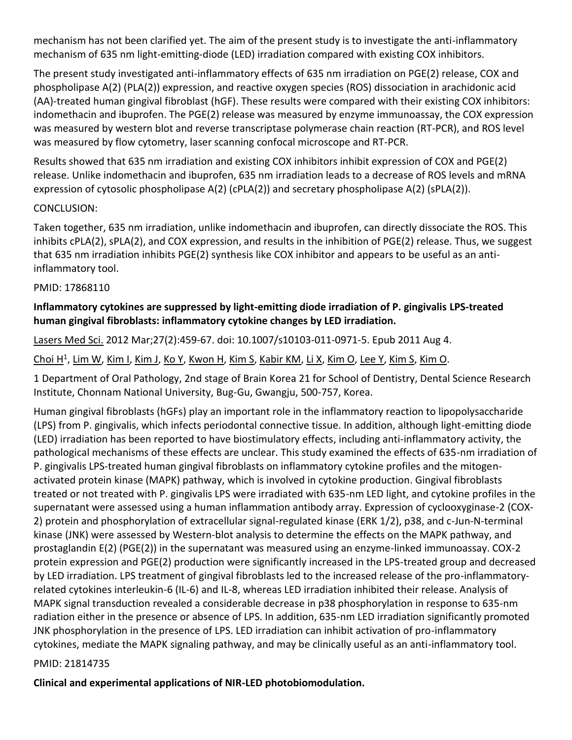mechanism has not been clarified yet. The aim of the present study is to investigate the anti-inflammatory mechanism of 635 nm light-emitting-diode (LED) irradiation compared with existing COX inhibitors.

The present study investigated anti-inflammatory effects of 635 nm irradiation on PGE(2) release, COX and phospholipase A(2) (PLA(2)) expression, and reactive oxygen species (ROS) dissociation in arachidonic acid (AA)-treated human gingival fibroblast (hGF). These results were compared with their existing COX inhibitors: indomethacin and ibuprofen. The PGE(2) release was measured by enzyme immunoassay, the COX expression was measured by western blot and reverse transcriptase polymerase chain reaction (RT-PCR), and ROS level was measured by flow cytometry, laser scanning confocal microscope and RT-PCR.

Results showed that 635 nm irradiation and existing COX inhibitors inhibit expression of COX and PGE(2) release. Unlike indomethacin and ibuprofen, 635 nm irradiation leads to a decrease of ROS levels and mRNA expression of cytosolic phospholipase A(2) (cPLA(2)) and secretary phospholipase A(2) (sPLA(2)).

### CONCLUSION:

Taken together, 635 nm irradiation, unlike indomethacin and ibuprofen, can directly dissociate the ROS. This inhibits cPLA(2), sPLA(2), and COX expression, and results in the inhibition of PGE(2) release. Thus, we suggest that 635 nm irradiation inhibits PGE(2) synthesis like COX inhibitor and appears to be useful as an antiinflammatory tool.

#### PMID: 17868110

### **Inflammatory cytokines are suppressed by light-emitting diode irradiation of P. gingivalis LPS-treated human gingival fibroblasts: inflammatory cytokine changes by LED irradiation.**

[Lasers Med Sci.](https://www.ncbi.nlm.nih.gov/pubmed/21814735) 2012 Mar;27(2):459-67. doi: 10.1007/s10103-011-0971-5. Epub 2011 Aug 4.

<u>[Choi H](https://www.ncbi.nlm.nih.gov/pubmed/?term=Choi%20H%5BAuthor%5D&cauthor=true&cauthor_uid=21814735)<sup>1</sup>[, Lim W,](https://www.ncbi.nlm.nih.gov/pubmed/?term=Lim%20W%5BAuthor%5D&cauthor=true&cauthor_uid=21814735) [Kim I,](https://www.ncbi.nlm.nih.gov/pubmed/?term=Kim%20I%5BAuthor%5D&cauthor=true&cauthor_uid=21814735) [Kim J,](https://www.ncbi.nlm.nih.gov/pubmed/?term=Kim%20J%5BAuthor%5D&cauthor=true&cauthor_uid=21814735) [Ko Y,](https://www.ncbi.nlm.nih.gov/pubmed/?term=Ko%20Y%5BAuthor%5D&cauthor=true&cauthor_uid=21814735) [Kwon H,](https://www.ncbi.nlm.nih.gov/pubmed/?term=Kwon%20H%5BAuthor%5D&cauthor=true&cauthor_uid=21814735) [Kim S,](https://www.ncbi.nlm.nih.gov/pubmed/?term=Kim%20S%5BAuthor%5D&cauthor=true&cauthor_uid=21814735) [Kabir KM,](https://www.ncbi.nlm.nih.gov/pubmed/?term=Kabir%20KM%5BAuthor%5D&cauthor=true&cauthor_uid=21814735) [Li X,](https://www.ncbi.nlm.nih.gov/pubmed/?term=Li%20X%5BAuthor%5D&cauthor=true&cauthor_uid=21814735) [Kim O,](https://www.ncbi.nlm.nih.gov/pubmed/?term=Kim%20O%5BAuthor%5D&cauthor=true&cauthor_uid=21814735) [Lee Y,](https://www.ncbi.nlm.nih.gov/pubmed/?term=Lee%20Y%5BAuthor%5D&cauthor=true&cauthor_uid=21814735) Kim S, Kim O</u>.

1 Department of Oral Pathology, 2nd stage of Brain Korea 21 for School of Dentistry, Dental Science Research Institute, Chonnam National University, Bug-Gu, Gwangju, 500-757, Korea.

Human gingival fibroblasts (hGFs) play an important role in the inflammatory reaction to lipopolysaccharide (LPS) from P. gingivalis, which infects periodontal connective tissue. In addition, although light-emitting diode (LED) irradiation has been reported to have biostimulatory effects, including anti-inflammatory activity, the pathological mechanisms of these effects are unclear. This study examined the effects of 635-nm irradiation of P. gingivalis LPS-treated human gingival fibroblasts on inflammatory cytokine profiles and the mitogenactivated protein kinase (MAPK) pathway, which is involved in cytokine production. Gingival fibroblasts treated or not treated with P. gingivalis LPS were irradiated with 635-nm LED light, and cytokine profiles in the supernatant were assessed using a human inflammation antibody array. Expression of cyclooxyginase-2 (COX-2) protein and phosphorylation of extracellular signal-regulated kinase (ERK 1/2), p38, and c-Jun-N-terminal kinase (JNK) were assessed by Western-blot analysis to determine the effects on the MAPK pathway, and prostaglandin E(2) (PGE(2)) in the supernatant was measured using an enzyme-linked immunoassay. COX-2 protein expression and PGE(2) production were significantly increased in the LPS-treated group and decreased by LED irradiation. LPS treatment of gingival fibroblasts led to the increased release of the pro-inflammatoryrelated cytokines interleukin-6 (IL-6) and IL-8, whereas LED irradiation inhibited their release. Analysis of MAPK signal transduction revealed a considerable decrease in p38 phosphorylation in response to 635-nm radiation either in the presence or absence of LPS. In addition, 635-nm LED irradiation significantly promoted JNK phosphorylation in the presence of LPS. LED irradiation can inhibit activation of pro-inflammatory cytokines, mediate the MAPK signaling pathway, and may be clinically useful as an anti-inflammatory tool.

#### PMID: 21814735

**Clinical and experimental applications of NIR-LED photobiomodulation.**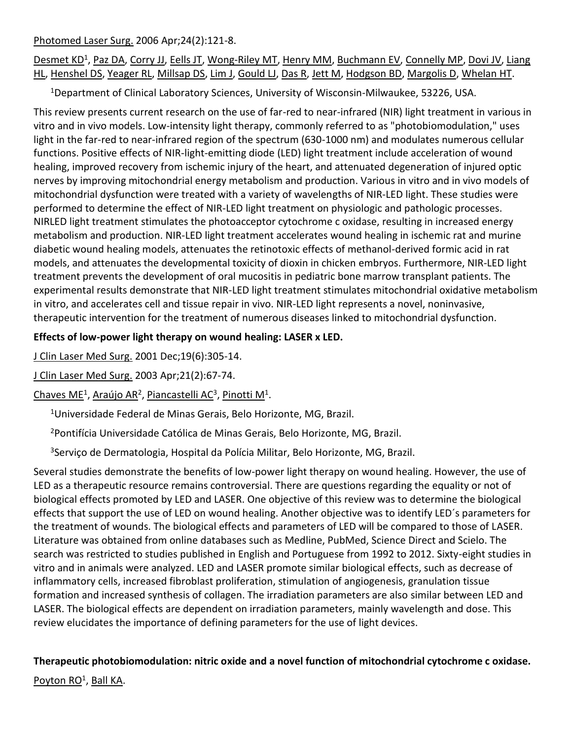#### [Photomed Laser Surg.](http://www.ncbi.nlm.nih.gov/pubmed/16706690) 2006 Apr;24(2):121-8.

# [Desmet KD](http://www.ncbi.nlm.nih.gov/pubmed/?term=Desmet%20KD%5BAuthor%5D&cauthor=true&cauthor_uid=16706690)<sup>1</sup>[, Paz DA,](http://www.ncbi.nlm.nih.gov/pubmed/?term=Paz%20DA%5BAuthor%5D&cauthor=true&cauthor_uid=16706690) [Corry JJ,](http://www.ncbi.nlm.nih.gov/pubmed/?term=Corry%20JJ%5BAuthor%5D&cauthor=true&cauthor_uid=16706690) [Eells JT,](http://www.ncbi.nlm.nih.gov/pubmed/?term=Eells%20JT%5BAuthor%5D&cauthor=true&cauthor_uid=16706690) [Wong-Riley MT,](http://www.ncbi.nlm.nih.gov/pubmed/?term=Wong-Riley%20MT%5BAuthor%5D&cauthor=true&cauthor_uid=16706690) [Henry MM,](http://www.ncbi.nlm.nih.gov/pubmed/?term=Henry%20MM%5BAuthor%5D&cauthor=true&cauthor_uid=16706690) [Buchmann EV,](http://www.ncbi.nlm.nih.gov/pubmed/?term=Buchmann%20EV%5BAuthor%5D&cauthor=true&cauthor_uid=16706690) [Connelly MP,](http://www.ncbi.nlm.nih.gov/pubmed/?term=Connelly%20MP%5BAuthor%5D&cauthor=true&cauthor_uid=16706690) [Dovi JV,](http://www.ncbi.nlm.nih.gov/pubmed/?term=Dovi%20JV%5BAuthor%5D&cauthor=true&cauthor_uid=16706690) Liang [HL,](http://www.ncbi.nlm.nih.gov/pubmed/?term=Liang%20HL%5BAuthor%5D&cauthor=true&cauthor_uid=16706690) [Henshel DS,](http://www.ncbi.nlm.nih.gov/pubmed/?term=Henshel%20DS%5BAuthor%5D&cauthor=true&cauthor_uid=16706690) [Yeager RL,](http://www.ncbi.nlm.nih.gov/pubmed/?term=Yeager%20RL%5BAuthor%5D&cauthor=true&cauthor_uid=16706690) [Millsap DS,](http://www.ncbi.nlm.nih.gov/pubmed/?term=Millsap%20DS%5BAuthor%5D&cauthor=true&cauthor_uid=16706690) [Lim J,](http://www.ncbi.nlm.nih.gov/pubmed/?term=Lim%20J%5BAuthor%5D&cauthor=true&cauthor_uid=16706690) [Gould LJ,](http://www.ncbi.nlm.nih.gov/pubmed/?term=Gould%20LJ%5BAuthor%5D&cauthor=true&cauthor_uid=16706690) [Das R,](http://www.ncbi.nlm.nih.gov/pubmed/?term=Das%20R%5BAuthor%5D&cauthor=true&cauthor_uid=16706690) [Jett M,](http://www.ncbi.nlm.nih.gov/pubmed/?term=Jett%20M%5BAuthor%5D&cauthor=true&cauthor_uid=16706690) [Hodgson BD,](http://www.ncbi.nlm.nih.gov/pubmed/?term=Hodgson%20BD%5BAuthor%5D&cauthor=true&cauthor_uid=16706690) [Margolis D,](http://www.ncbi.nlm.nih.gov/pubmed/?term=Margolis%20D%5BAuthor%5D&cauthor=true&cauthor_uid=16706690) [Whelan HT.](http://www.ncbi.nlm.nih.gov/pubmed/?term=Whelan%20HT%5BAuthor%5D&cauthor=true&cauthor_uid=16706690)

<sup>1</sup>Department of Clinical Laboratory Sciences, University of Wisconsin-Milwaukee, 53226, USA.

This review presents current research on the use of far-red to near-infrared (NIR) light treatment in various in vitro and in vivo models. Low-intensity light therapy, commonly referred to as "photobiomodulation," uses light in the far-red to near-infrared region of the spectrum (630-1000 nm) and modulates numerous cellular functions. Positive effects of NIR-light-emitting diode (LED) light treatment include acceleration of wound healing, improved recovery from ischemic injury of the heart, and attenuated degeneration of injured optic nerves by improving mitochondrial energy metabolism and production. Various in vitro and in vivo models of mitochondrial dysfunction were treated with a variety of wavelengths of NIR-LED light. These studies were performed to determine the effect of NIR-LED light treatment on physiologic and pathologic processes. NIRLED light treatment stimulates the photoacceptor cytochrome c oxidase, resulting in increased energy metabolism and production. NIR-LED light treatment accelerates wound healing in ischemic rat and murine diabetic wound healing models, attenuates the retinotoxic effects of methanol-derived formic acid in rat models, and attenuates the developmental toxicity of dioxin in chicken embryos. Furthermore, NIR-LED light treatment prevents the development of oral mucositis in pediatric bone marrow transplant patients. The experimental results demonstrate that NIR-LED light treatment stimulates mitochondrial oxidative metabolism in vitro, and accelerates cell and tissue repair in vivo. NIR-LED light represents a novel, noninvasive, therapeutic intervention for the treatment of numerous diseases linked to mitochondrial dysfunction.

# **Effects of low-power light therapy on wound healing: LASER x LED.**

[J Clin Laser Med Surg.](http://www.ncbi.nlm.nih.gov/pubmed/11776448) 2001 Dec;19(6):305-14.

[J Clin Laser Med Surg.](http://www.ncbi.nlm.nih.gov/pubmed/12737646) 2003 Apr;21(2):67-74.

[Chaves ME](http://www.ncbi.nlm.nih.gov/pubmed/?term=Chaves%20ME%5BAuthor%5D&cauthor=true&cauthor_uid=25054749)<sup>1</sup>, [Araújo AR](http://www.ncbi.nlm.nih.gov/pubmed/?term=Ara%C3%BAjo%20AR%5BAuthor%5D&cauthor=true&cauthor_uid=25054749)<sup>2</sup>, [Piancastelli AC](http://www.ncbi.nlm.nih.gov/pubmed/?term=Piancastelli%20AC%5BAuthor%5D&cauthor=true&cauthor_uid=25054749)<sup>3</sup>, [Pinotti M](http://www.ncbi.nlm.nih.gov/pubmed/?term=Pinotti%20M%5BAuthor%5D&cauthor=true&cauthor_uid=25054749)<sup>1</sup>.

<sup>1</sup>Universidade Federal de Minas Gerais, Belo Horizonte, MG, Brazil.

<sup>2</sup>Pontifícia Universidade Católica de Minas Gerais, Belo Horizonte, MG, Brazil.

<sup>3</sup>Serviço de Dermatologia, Hospital da Polícia Militar, Belo Horizonte, MG, Brazil.

Several studies demonstrate the benefits of low-power light therapy on wound healing. However, the use of LED as a therapeutic resource remains controversial. There are questions regarding the equality or not of biological effects promoted by LED and LASER. One objective of this review was to determine the biological effects that support the use of LED on wound healing. Another objective was to identify LED´s parameters for the treatment of wounds. The biological effects and parameters of LED will be compared to those of LASER. Literature was obtained from online databases such as Medline, PubMed, Science Direct and Scielo. The search was restricted to studies published in English and Portuguese from 1992 to 2012. Sixty-eight studies in vitro and in animals were analyzed. LED and LASER promote similar biological effects, such as decrease of inflammatory cells, increased fibroblast proliferation, stimulation of angiogenesis, granulation tissue formation and increased synthesis of collagen. The irradiation parameters are also similar between LED and LASER. The biological effects are dependent on irradiation parameters, mainly wavelength and dose. This review elucidates the importance of defining parameters for the use of light devices.

#### **Therapeutic photobiomodulation: nitric oxide and a novel function of mitochondrial cytochrome c oxidase.**

[Poyton RO](http://www.ncbi.nlm.nih.gov/pubmed/?term=Poyton%20RO%5BAuthor%5D&cauthor=true&cauthor_uid=21356170)<sup>1</sup>, [Ball KA.](http://www.ncbi.nlm.nih.gov/pubmed/?term=Ball%20KA%5BAuthor%5D&cauthor=true&cauthor_uid=21356170)